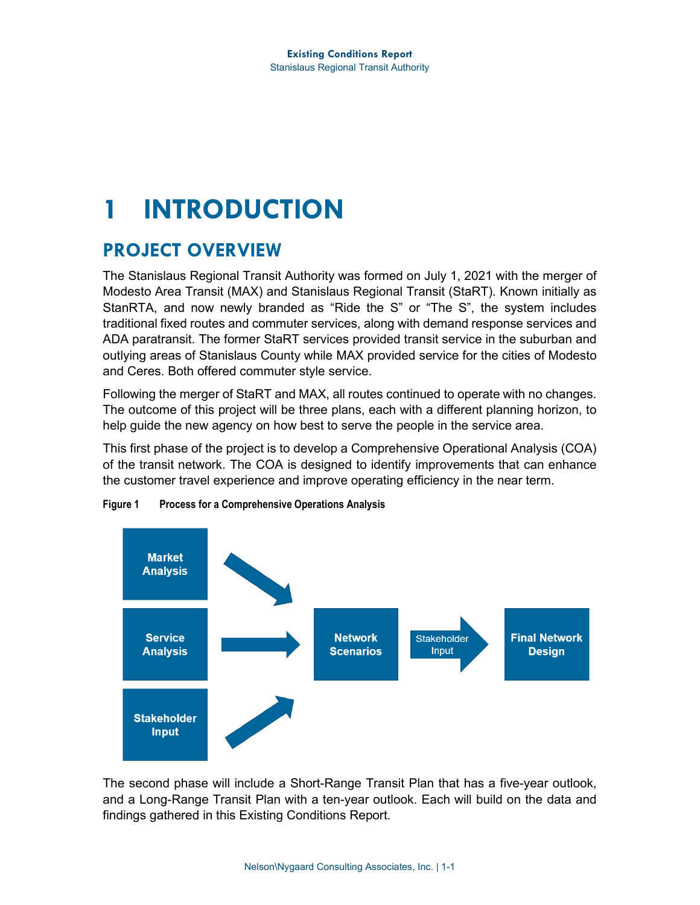## **1 INTRODUCTION**

## **PROJECT OVERVIEW**

The Stanislaus Regional Transit Authority was formed on July 1, 2021 with the merger of Modesto Area Transit (MAX) and Stanislaus Regional Transit (StaRT). Known initially as StanRTA, and now newly branded as "Ride the S" or "The S", the system includes traditional fixed routes and commuter services, along with demand response services and ADA paratransit. The former StaRT services provided transit service in the suburban and outlying areas of Stanislaus County while MAX provided service for the cities of Modesto and Ceres. Both offered commuter style service.

Following the merger of StaRT and MAX, all routes continued to operate with no changes. The outcome of this project will be three plans, each with a different planning horizon, to help guide the new agency on how best to serve the people in the service area.

This first phase of the project is to develop a Comprehensive Operational Analysis (COA) of the transit network. The COA is designed to identify improvements that can enhance the customer travel experience and improve operating efficiency in the near term.



**Figure 1 Process for a Comprehensive Operations Analysis**

The second phase will include a Short-Range Transit Plan that has a five-year outlook, and a Long-Range Transit Plan with a ten-year outlook. Each will build on the data and findings gathered in this Existing Conditions Report.